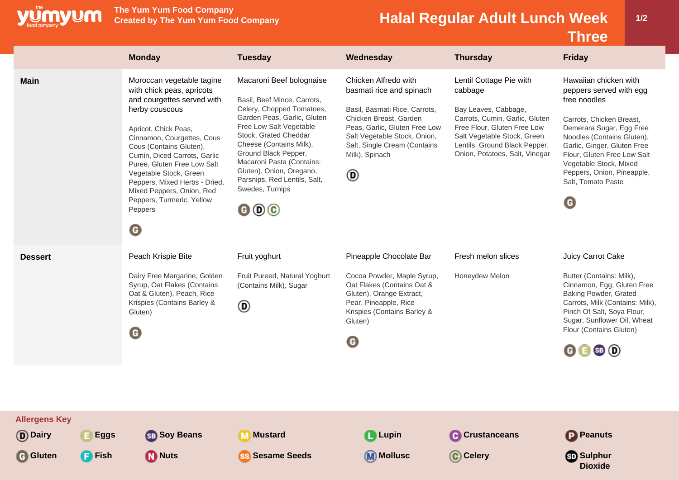

**The Yum Yum Food Company**

## **Created by The Yum Yum Food Company Halal Regular Adult Lunch Week**

**1/2**

**Dioxide**

**Three Monday Tuesday Wednesday Thursday Friday Main** Moroccan vegetable tagine Macaroni Beef bolognaise Chicken Alfredo with Lentil Cottage Pie with Hawaiian chicken with with chick peas, apricots basmati rice and spinach cabbage peppers served with egg and courgettes served with Basil, Beef Mince, Carrots, free noodles Celery, Chopped Tomatoes, herby couscous Basil, Basmati Rice, Carrots, Bay Leaves, Cabbage, Garden Peas, Garlic, Gluten Chicken Breast, Garden Carrots, Cumin, Garlic, Gluten Carrots, Chicken Breast, Free Low Salt Vegetable Peas, Garlic, Gluten Free Low Free Flour, Gluten Free Low Demerara Sugar, Egg Free Apricot, Chick Peas, Stock, Grated Cheddar Salt Vegetable Stock, Onion, Salt Vegetable Stock, Green Noodles (Contains Gluten), Cinnamon, Courgettes, Cous Cheese (Contains Milk), Salt, Single Cream (Contains Lentils, Ground Black Pepper, Garlic, Ginger, Gluten Free Cous (Contains Gluten), Ground Black Pepper, Milk), Spinach Onion, Potatoes, Salt, Vinegar Flour, Gluten Free Low Salt Cumin, Diced Carrots, Garlic Macaroni Pasta (Contains: Vegetable Stock, Mixed Puree, Gluten Free Low Salt Gluten), Onion, Oregano, Vegetable Stock, Green  $\circledR$ Peppers, Onion, Pineapple, Parsnips, Red Lentils, Salt, Salt, Tomato Paste Peppers, Mixed Herbs - Dried, Swedes, Turnips Mixed Peppers, Onion, Red Peppers, Turmeric, Yellow G  $000$ **Peppers**  $\bullet$ **Dessert** Peach Krispie Bite Fruit yoghurt Pineapple Chocolate Bar Fresh melon slices Juicy Carrot Cake

Fruit Pureed, Natural Yoghurt Cocoa Powder, Maple Syrup, Dairy Free Margarine, Golden Honeydew Melon Butter (Contains: Milk), Oat Flakes (Contains Oat & Syrup, Oat Flakes (Contains (Contains Milk), Sugar Cinnamon, Egg, Gluten Free Oat & Gluten), Peach, Rice Gluten), Orange Extract, Baking Powder, Grated Krispies (Contains Barley & Pear, Pineapple, Rice Carrots, Milk (Contains: Milk),  $^{\circ}$ Krispies (Contains Barley & Pinch Of Salt, Soya Flour, Gluten) Sugar, Sunflower Oil, Wheat Gluten) Flour (Contains Gluten)  $\bigodot$ G  $0 0 0 0$ **Allergens Key D** Dairy **Eggs Soy Beans Mustard Lupin C** Crustanceans **P** Peanuts

**Gluten Fish Nuts Sesame Seeds Mollusc Celery Sulphur**